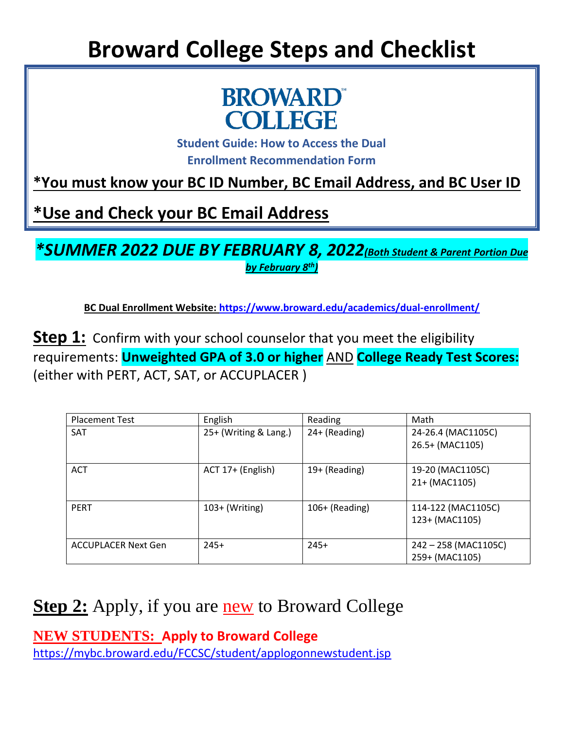## **Broward College Steps and Checklist**



**Student Guide: How to Access the Dual Enrollment Recommendation Form**

**\*You must know your BC ID Number, BC Email Address, and BC User ID**

**\*Use and Check your BC Email Address** 

*\*SUMMER 2022 DUE BY FEBRUARY 8, 2022(Both Student & Parent Portion Due by February 8th)*

**BC Dual Enrollment Website:<https://www.broward.edu/academics/dual-enrollment/>**

**Step 1:** Confirm with your school counselor that you meet the eligibility requirements: **Unweighted GPA of 3.0 or higher** AND **College Ready Test Scores:** (either with PERT, ACT, SAT, or ACCUPLACER )

| <b>Placement Test</b>      | English               | Reading          | Math                                  |
|----------------------------|-----------------------|------------------|---------------------------------------|
| <b>SAT</b>                 | 25+ (Writing & Lang.) | 24+ (Reading)    | 24-26.4 (MAC1105C)<br>26.5+ (MAC1105) |
|                            |                       |                  |                                       |
| <b>ACT</b>                 | ACT 17+ (English)     | 19+ (Reading)    | 19-20 (MAC1105C)                      |
|                            |                       |                  | 21+ (MAC1105)                         |
| <b>PERT</b>                | $103+$ (Writing)      | $106+$ (Reading) | 114-122 (MAC1105C)                    |
|                            |                       |                  | 123+ (MAC1105)                        |
| <b>ACCUPLACER Next Gen</b> | $245+$                | $245+$           | 242 - 258 (MAC1105C)                  |
|                            |                       |                  | 259+ (MAC1105)                        |

### **Step 2:** Apply, if you are **new** to Broward College

**NEW STUDENTS: Apply to Broward College** <https://mybc.broward.edu/FCCSC/student/applogonnewstudent.jsp>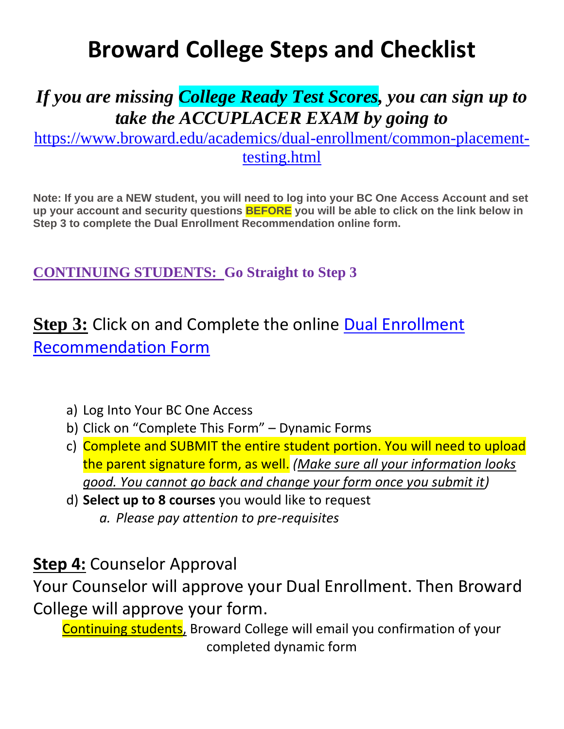### **Broward College Steps and Checklist**

### *If you are missing College Ready Test Scores, you can sign up to take the ACCUPLACER EXAM by going to*

[https://www.broward.edu/academics/dual-enrollment/common-placement](https://www.broward.edu/academics/dual-enrollment/common-placement-testing.html)[testing.html](https://www.broward.edu/academics/dual-enrollment/common-placement-testing.html)

**Note: If you are a NEW student, you will need to log into your BC One Access Account and set up your account and security questions BEFORE you will be able to click on the link below in Step 3 to complete the Dual Enrollment Recommendation online form.**

**CONTINUING STUDENTS: Go Straight to Step 3**

**Step 3:** Click on and Complete the online [Dual Enrollment](https://broward.onelogin.com/login2/?return=eyJ0eXAiOiJKV1QiLCJhbGciOiJIUzI1NiJ9.eyJmZl9tdWx0aXBsZV9icmFuZHMiOnRydWUsImFwcF9pZCI6Ijc5NDcwNyIsInVyaSI6Imh0dHBzOi8vYnJvd2FyZC5vbmVsb2dpbi5jb20vdHJ1c3Qvc2FtbDIvaHR0cC1yZWRpcmVjdC9zc28vNzk0NzA3P3NhbWxfcmVxdWVzdF9wYXJhbXNfdG9rZW49Zjk3ZmI2ODA0Mi4wOTE2ZmVhMWM0MzJhZTA1MTYzMDMzMGZhMjk1YzJjNTQyZDg5Yjc2LjlqUHdtREhCNWNEeUk5M3JvcjZuTUg2bFBUUlU5UGQxQ2NGazJUeTY0Mk0lM0QiLCJub3RpZmljYXRpb24iOnsibWVzc2FnZSI6IkNvbm5lY3RpbmcgdG8gQXBwbGljYXRpb24iLCJ2YWx1ZXMiOlsiQXBwbGljYXRpb24iXSwidGVtcGxhdGVfaWQiOiJjb25uZWN0aW5nX3RvX2FwcCIsImljb24iOiJjb25uZWN0aW9uIiwidHlwZSI6ImluZm8ifSwiYXVkIjoiQUNDRVNTIiwiYnJhbmRfaWQiOiJtYXN0ZXIiLCJleHAiOjE2NDIxODUxNzYsImlzcyI6Ik1PTk9SQUlMIiwicGFyYW1zIjp7fSwibWV0aG9kIjoiZ2V0In0.YTGovGeboO6HVeIC61LWBdIlo63lVWq4dJnSbQ4rJ3I#app=794707)  [Recommendation Form](https://broward.onelogin.com/login2/?return=eyJ0eXAiOiJKV1QiLCJhbGciOiJIUzI1NiJ9.eyJmZl9tdWx0aXBsZV9icmFuZHMiOnRydWUsImFwcF9pZCI6Ijc5NDcwNyIsInVyaSI6Imh0dHBzOi8vYnJvd2FyZC5vbmVsb2dpbi5jb20vdHJ1c3Qvc2FtbDIvaHR0cC1yZWRpcmVjdC9zc28vNzk0NzA3P3NhbWxfcmVxdWVzdF9wYXJhbXNfdG9rZW49Zjk3ZmI2ODA0Mi4wOTE2ZmVhMWM0MzJhZTA1MTYzMDMzMGZhMjk1YzJjNTQyZDg5Yjc2LjlqUHdtREhCNWNEeUk5M3JvcjZuTUg2bFBUUlU5UGQxQ2NGazJUeTY0Mk0lM0QiLCJub3RpZmljYXRpb24iOnsibWVzc2FnZSI6IkNvbm5lY3RpbmcgdG8gQXBwbGljYXRpb24iLCJ2YWx1ZXMiOlsiQXBwbGljYXRpb24iXSwidGVtcGxhdGVfaWQiOiJjb25uZWN0aW5nX3RvX2FwcCIsImljb24iOiJjb25uZWN0aW9uIiwidHlwZSI6ImluZm8ifSwiYXVkIjoiQUNDRVNTIiwiYnJhbmRfaWQiOiJtYXN0ZXIiLCJleHAiOjE2NDIxODUxNzYsImlzcyI6Ik1PTk9SQUlMIiwicGFyYW1zIjp7fSwibWV0aG9kIjoiZ2V0In0.YTGovGeboO6HVeIC61LWBdIlo63lVWq4dJnSbQ4rJ3I#app=794707)

- a) Log Into Your BC One Access
- b) Click on "Complete This Form" Dynamic Forms
- c) Complete and SUBMIT the entire student portion. You will need to upload the parent signature form, as well. *(Make sure all your information looks good. You cannot go back and change your form once you submit it)*
- d) **Select up to 8 courses** you would like to request *a. Please pay attention to pre-requisites*

#### **Step 4:** Counselor Approval

Your Counselor will approve your Dual Enrollment. Then Broward College will approve your form.

Continuing students, Broward College will email you confirmation of your completed dynamic form